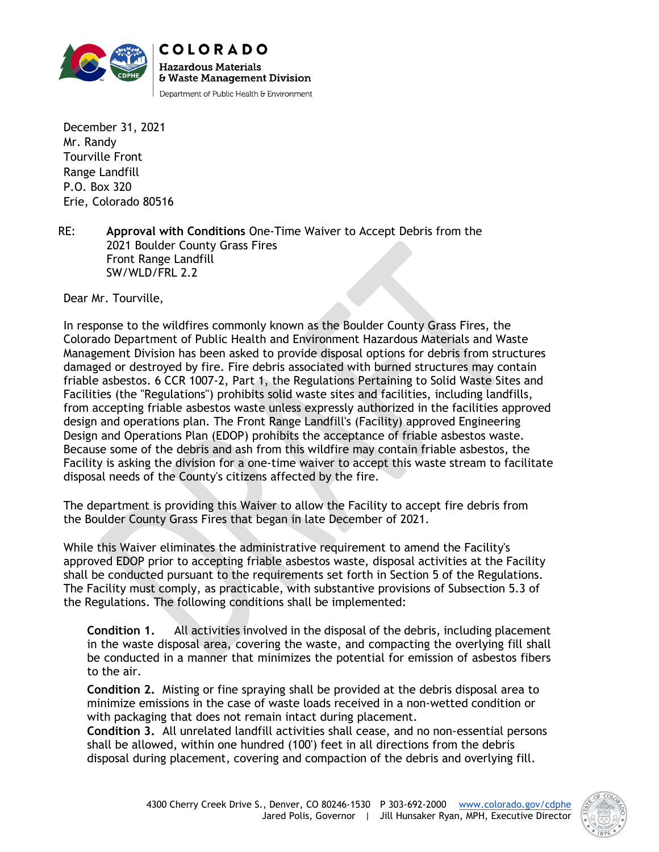

December 31, 2021 Mr. Randy Tourville Front Range Landfill P.O. Box 320 Erie, Colorado 80516

RE: **Approval with Conditions** One-Time Waiver to Accept Debris from the 2021 Boulder County Grass Fires Front Range Landfill SW/WLD/FRL 2.2

Dear Mr. Tourville,

In response to the wildfires commonly known as the Boulder County Grass Fires, the Colorado Department of Public Health and Environment Hazardous Materials and Waste Management Division has been asked to provide disposal options for debris from structures damaged or destroyed by fire. Fire debris associated with burned structures may contain friable asbestos. 6 CCR 1007-2, Part 1, the Regulations Pertaining to Solid Waste Sites and Facilities (the "Regulations") prohibits solid waste sites and facilities, including landfills, from accepting friable asbestos waste unless expressly authorized in the facilities approved design and operations plan. The Front Range Landfill's (Facility) approved Engineering Design and Operations Plan (EDOP) prohibits the acceptance of friable asbestos waste. Because some of the debris and ash from this wildfire may contain friable asbestos, the Facility is asking the division for a one-time waiver to accept this waste stream to facilitate disposal needs of the County's citizens affected by the fire.

The department is providing this Waiver to allow the Facility to accept fire debris from the Boulder County Grass Fires that began in late December of 2021.

While this Waiver eliminates the administrative requirement to amend the Facility's approved EDOP prior to accepting friable asbestos waste, disposal activities at the Facility shall be conducted pursuant to the requirements set forth in Section 5 of the Regulations. The Facility must comply, as practicable, with substantive provisions of Subsection 5.3 of the Regulations. The following conditions shall be implemented:

**Condition 1.** All activities involved in the disposal of the debris, including placement in the waste disposal area, covering the waste, and compacting the overlying fill shall be conducted in a manner that minimizes the potential for emission of asbestos fibers to the air.

**Condition 2.** Misting or fine spraying shall be provided at the debris disposal area to minimize emissions in the case of waste loads received in a non-wetted condition or with packaging that does not remain intact during placement.

**Condition 3.** All unrelated landfill activities shall cease, and no non-essential persons shall be allowed, within one hundred (100') feet in all directions from the debris disposal during placement, covering and compaction of the debris and overlying fill.